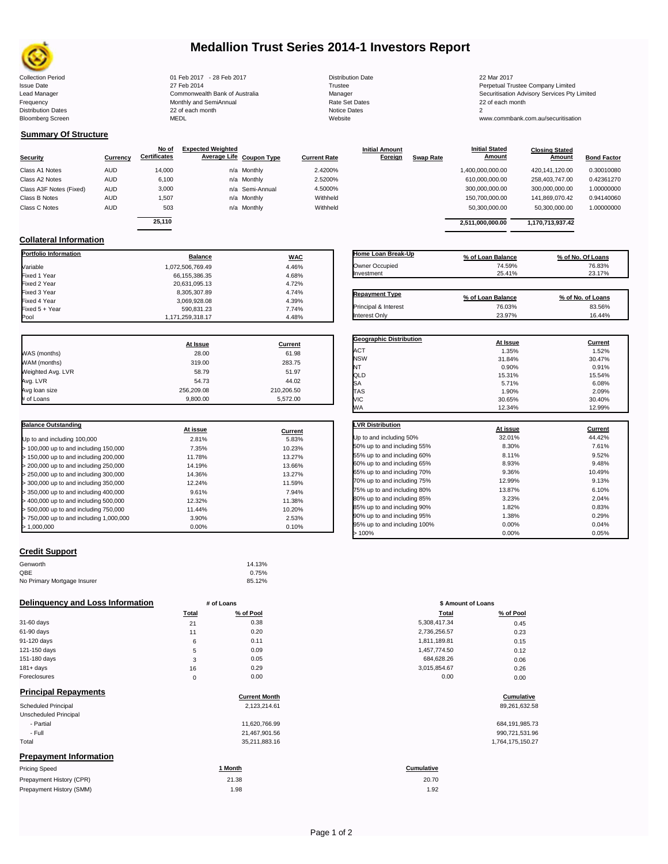

# **Medallion Trust Series 2014-1 Investors Report**

| <b>Collection Period</b>  | 01 Feb 2017 - 28 Feb 2017      | <b>Distribution Date</b> | 22 Mar 2017    |
|---------------------------|--------------------------------|--------------------------|----------------|
| Issue Date                | 27 Feb 2014                    | Trustee                  | Perpetual Tru  |
| Lead Manager              | Commonwealth Bank of Australia | Manager                  | Securitisation |
| Frequency                 | Monthly and SemiAnnual         | Rate Set Dates           | 22 of each m   |
| <b>Distribution Dates</b> | 22 of each month               | <b>Notice Dates</b>      |                |
| Bloomberg Screen          | MEDL                           | Website                  | www.commb      |
|                           |                                |                          |                |

Frequency 22 of each month Monthly and SemiAnnual Rate Set Dates 22 of each month 22 of each month 22 of each month<br>Distribution Dates 22 of each month 22 of each month 20 of each month and the Set Dates 20 month 2 Bloomberg Screen MEDL Website www.commbank.com.au/securitisation

| <b>Distribution Date</b> |
|--------------------------|
| Trustee                  |
| Manager                  |
| Rate Set Dates           |
| Notice Dates             |
| Website                  |
|                          |

**Initial Amount** 

Issue Date 2014 27 Feb 2014 27 Feb 2014<br>Isaad Manager 2015 2017 Commonwealth Bank of Australia 2016 Manager 2016 2017 2017 Securitisation Advisory Services Pty Lead Manager **Commonwealth Bank of Australia** Manager Manager Securitisation Advisory Services Pty Limited

> **Closing Stated Amount**

# **Summary Of Structure**

**Collateral Information**

|                         |            | No of               | <b>Expected Weighted</b> |                     | <b>Initial Amount</b> |                  | <b>Initial Stated</b> | <b>Closing Stated</b> |                    |
|-------------------------|------------|---------------------|--------------------------|---------------------|-----------------------|------------------|-----------------------|-----------------------|--------------------|
| <b>Security</b>         | Currency   | <b>Certificates</b> | Average Life Coupon Type | <b>Current Rate</b> | Foreign               | <b>Swap Rate</b> | <b>Amount</b>         | Amount                | <b>Bond Factor</b> |
| Class A1 Notes          | <b>AUD</b> | 14.000              | n/a Monthly              | 2.4200%             |                       |                  | 1,400,000,000.00      | 420.141.120.00        | 0.30010080         |
| Class A2 Notes          | <b>AUD</b> | 6,100               | n/a Monthly              | 2.5200%             |                       |                  | 610,000,000.00        | 258.403.747.00        | 0.42361270         |
| Class A3F Notes (Fixed) | <b>AUD</b> | 3,000               | n/a Semi-Annual          | 4.5000%             |                       |                  | 300,000,000.00        | 300,000,000.00        | 1.00000000         |
| Class B Notes           | <b>AUD</b> | 1.507               | n/a Monthly              | Withheld            |                       |                  | 150.700.000.00        | 141.869.070.42        | 0.94140060         |
| Class C Notes           | <b>AUD</b> | 503                 | n/a Monthly              | Withheld            |                       |                  | 50,300,000.00         | 50,300,000.00         | 1.00000000         |
|                         |            | 25.110              |                          |                     |                       |                  | 2,511,000,000.00      | 1,170,713,937.42      |                    |
|                         |            |                     |                          |                     |                       |                  |                       |                       |                    |

**Portfolio Information Balance WAC** Variable 1,072,506,769.49 4.46% Fixed 1 Year 66,155,386.35 4.68% Fixed 2 Year 20,631,095.13 4.72% Fixed 3 Year 8,305,307.89 4.74%<br>Fixed 4 Year 8,306,928.08 4.39% 4.39%

| Home Loan Break-Up<br>Owner Occupied<br>Investment | % of Loan Balance<br>74.59%<br>25.41% | % of No. Of Loans<br>76.83%<br>23.17% |
|----------------------------------------------------|---------------------------------------|---------------------------------------|
| <b>Repayment Type</b>                              |                                       |                                       |
| <b>Principal &amp; Interest</b>                    | % of Loan Balance<br>76.03%           | % of No. of Loans<br>83.56%           |

**Initial Stated** 

| Fixed 4 Year      | 3,069,928.08     | 4.39%   |
|-------------------|------------------|---------|
| Fixed 5 + Year    | 590,831.23       | 7.74%   |
| Pool              | 1,171,259,318.17 | 4.48%   |
|                   |                  |         |
|                   | At Issue         | Current |
| WAS (months)      | 28.00            | 61.98   |
| WAM (months)      | 319.00           | 283.75  |
| Weighted Avg. LVR | 58.79            | 51.97   |
|                   |                  |         |

Avg. LVR 54.73 44.02 Avg loan size 256,209.08 256,209.08 210,206.50

| # of Loans                              | 9.800.00 | 5.572.00 |
|-----------------------------------------|----------|----------|
|                                         |          |          |
| <b>Balance Outstanding</b>              | At issue | Current  |
| Up to and including 100,000             | 2.81%    | 5.83%    |
| > 100,000 up to and including 150,000   | 7.35%    | 10.23%   |
| > 150,000 up to and including 200,000   | 11.78%   | 13.27%   |
| > 200,000 up to and including 250,000   | 14.19%   | 13.66%   |
| > 250,000 up to and including 300,000   | 14.36%   | 13.27%   |
| > 300,000 up to and including 350,000   | 12.24%   | 11.59%   |
| > 350,000 up to and including 400,000   | 9.61%    | 7.94%    |
| $>$ 400,000 up to and including 500,000 | 12.32%   | 11.38%   |
| > 500,000 up to and including 750,000   | 11.44%   | 10.20%   |
| > 750,000 up to and including 1,000,000 | 3.90%    | 2.53%    |
| 1.000.000                               | 0.00%    | 0.10%    |

| Principal & Interest           | 76.03%   | 83.56%         |
|--------------------------------|----------|----------------|
| Interest Only                  | 23.97%   | 16.44%         |
|                                |          |                |
| <b>Geographic Distribution</b> | At Issue | <b>Current</b> |
| ACT                            | 1.35%    | 1.52%          |
| <b>NSW</b>                     | 31.84%   | 30.47%         |
| NT                             | 0.90%    | 0.91%          |
| QLD                            | 15.31%   | 15.54%         |
| SA                             | 5.71%    | 6.08%          |

TAS 1.90% 2.09% VIC 30.65% 30.40%

| WА                           | 12.34%   | 12.99%  |
|------------------------------|----------|---------|
|                              |          |         |
| <b>LVR Distribution</b>      | At issue | Current |
| Up to and including 50%      | 32.01%   | 44.42%  |
| 50% up to and including 55%  | 8.30%    | 7.61%   |
| 55% up to and including 60%  | 8.11%    | 9.52%   |
| 60% up to and including 65%  | 8.93%    | 9.48%   |
| 65% up to and including 70%  | 9.36%    | 10.49%  |
| 70% up to and including 75%  | 12.99%   | 9.13%   |
| 75% up to and including 80%  | 13.87%   | 6.10%   |
| 80% up to and including 85%  | 3.23%    | 2.04%   |
| 85% up to and including 90%  | 1.82%    | 0.83%   |
| 90% up to and including 95%  | 1.38%    | 0.29%   |
| 95% up to and including 100% | 0.00%    | 0.04%   |
| 100%                         | 0.00%    | 0.05%   |

# **Credit Support**

| Genworth                    | 14.13% |
|-----------------------------|--------|
| QBE                         | 0.75%  |
| No Primary Mortgage Insurer | 85.12% |

### **Delinquency and Loss Information # of Loans # of Loans \$ Amount of Loans**

|              | Total | % of Pool | Total        | % of Pool |
|--------------|-------|-----------|--------------|-----------|
| 31-60 days   | 21    | 0.38      | 5,308,417.34 | 0.45      |
| 61-90 days   | 11    | 0.20      | 2,736,256.57 | 0.23      |
| 91-120 days  | 6     | 0.11      | 1,811,189.81 | 0.15      |
| 121-150 days | 5     | 0.09      | 1,457,774.50 | 0.12      |
| 151-180 days | 3     | 0.05      | 684,628.26   | 0.06      |
| $181 + days$ | 16    | 0.29      | 3,015,854.67 | 0.26      |
| Foreclosures | 0     | 0.00      | 0.00         | 0.00      |

Prepayment History (SMM)

| <b>Principal Repayments</b>   |                      |                   |
|-------------------------------|----------------------|-------------------|
|                               | <b>Current Month</b> | Cumulative        |
| <b>Scheduled Principal</b>    | 2,123,214.61         | 89,261,632.58     |
| Unscheduled Principal         |                      |                   |
| - Partial                     | 11.620.766.99        | 684, 191, 985. 73 |
| - Full                        | 21,467,901.56        | 990,721,531.96    |
| Total                         | 35,211,883.16        | 1,764,175,150.27  |
| <b>Prepayment Information</b> |                      |                   |
| <b>Pricing Speed</b>          | 1 Month              | Cumulative        |
| Prepayment History (CPR)      | 21.38                | 20.70             |

1.98 1.92